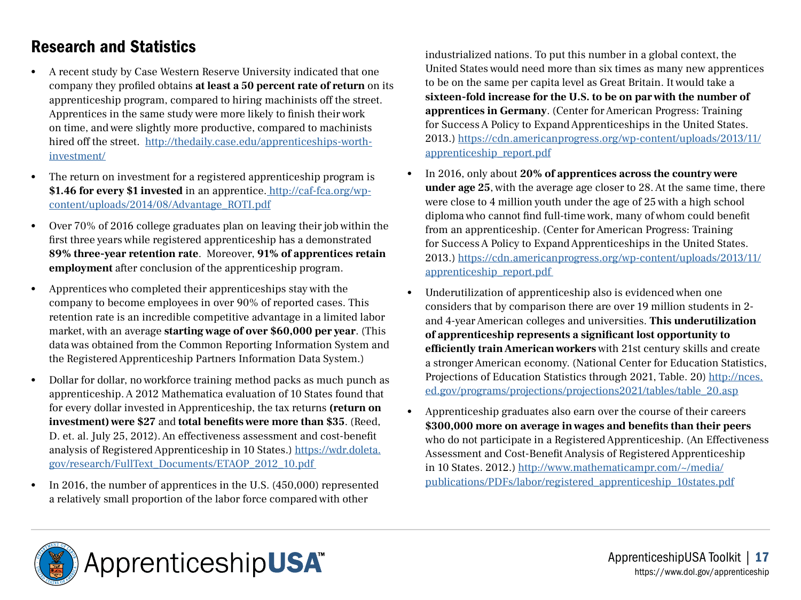## Research and Statistics

- A recent study by Case Western Reserve University indicated that one company they profiled obtains **at least a 50 percent rate of return** on its apprenticeship program, compared to hiring machinists off the street. Apprentices in the same study were more likely to finish their work on time, and were slightly more productive, compared to machinists hired off the street. [http://thedaily.case.edu/apprenticeships-worth](http://thedaily.case.edu/apprenticeships-worth-investment/ )[investment/](http://thedaily.case.edu/apprenticeships-worth-investment/ )
- The return on investment for a registered apprenticeship program is **\$1.46 for every \$1 invested** in an apprentice[.](http://caf-fca.org/wp-content/uploads/2014/08/Advantage_ROTI.pdf) http://caf-fca.org/wpcontent/uploads/2014/08/Advantage\_ROTI.pdf
- Over 70% of 2016 college graduates plan on leaving their job within the first three years while registered apprenticeship has a demonstrated **89% three-year retention rate**. Moreover, **91% of apprentices retain employment** after conclusion of the apprenticeship program.
- Apprentices who completed their apprenticeships stay with the company to become employees in over 90% of reported cases. This retention rate is an incredible competitive advantage in a limited labor market, with an average **starting wage of over \$60,000 per year**. (This data was obtained from the Common Reporting Information System and the Registered Apprenticeship Partners Information Data System.)
- Dollar for dollar, no workforce training method packs as much punch as apprenticeship. A 2012 Mathematica evaluation of 10 States found that for every dollar invested in Apprenticeship, the tax returns **(return on investment)** were \$27 and **total benefits were more than \$35**. (Reed, D. et. al. July 25, 2012). An effectiveness assessment and cost-benefit analysis of Registered Apprenticeship in 10 States.) [https://wdr.doleta.](https://wdr.doleta.gov/research/FullText_Documents/ETAOP_2012_10.pdf) [gov/research/FullText\\_Documents/ETAOP\\_2012\\_10.pdf](https://wdr.doleta.gov/research/FullText_Documents/ETAOP_2012_10.pdf)
- In 2016, the number of apprentices in the U.S. (450,000) represented a relatively small proportion of the labor force compared with other

industrialized nations. To put this number in a global context, the United States would need more than six times as many new apprentices to be on the same per capita level as Great Britain. It would take a **sixteen-fold increase for the U.S. to be on par with the number of apprentices in Germany**. (Center for American Progress: Training for Success A Policy to Expand Apprenticeships in the United States. 2013.) [https://cdn.americanprogress.org/wp-content/uploads/2013/11/](https://cdn.americanprogress.org/wp-content/uploads/2013/11/apprenticeship_report.pdf) [apprenticeship\\_report.pdf](https://cdn.americanprogress.org/wp-content/uploads/2013/11/apprenticeship_report.pdf)

- In 2016, only about **20% of apprentices across the country were under age 25**, with the average age closer to 28. At the same time, there were close to 4 million youth under the age of 25 with a high school diploma who cannot find full-time work, many of whom could benefit from an apprenticeship. (Center for American Progress: Training for Success A Policy to Expand Apprenticeships in the United States. 2013.) [https://cdn.americanprogress.org/wp-content/uploads/2013/11/](https://cdn.americanprogress.org/wp-content/uploads/2013/11/apprenticeship_report.pdf) [apprenticeship\\_report.pdf](https://cdn.americanprogress.org/wp-content/uploads/2013/11/apprenticeship_report.pdf)
- Underutilization of apprenticeship also is evidenced when one considers that by comparison there are over 19 million students in 2 and 4-year American colleges and universities. **This underutilization of apprenticeship represents a significant lost opportunity to efficiently train American workers** with 21st century skills and create a stronger American economy. (National Center for Education Statistics, Projections of Education Statistics through 2021, Table. 20) [http://nces.](http://nces.ed.gov/programs/projections/projections2021/tables/table_20.asp) [ed.gov/programs/projections/projections2021/tables/table\\_20.asp](http://nces.ed.gov/programs/projections/projections2021/tables/table_20.asp)
- Apprenticeship graduates also earn over the course of their careers **\$300,000 more on average in wages and benefits than their peers**  who do not participate in a Registered Apprenticeship. (An Effectiveness Assessment and Cost-Benefit Analysis of Registered Apprenticeship in 10 States. 2012.) http://www.mathematicampr.com/~/media/ publications/PDFs/labor/registered\_apprenticeship\_10states.pdf